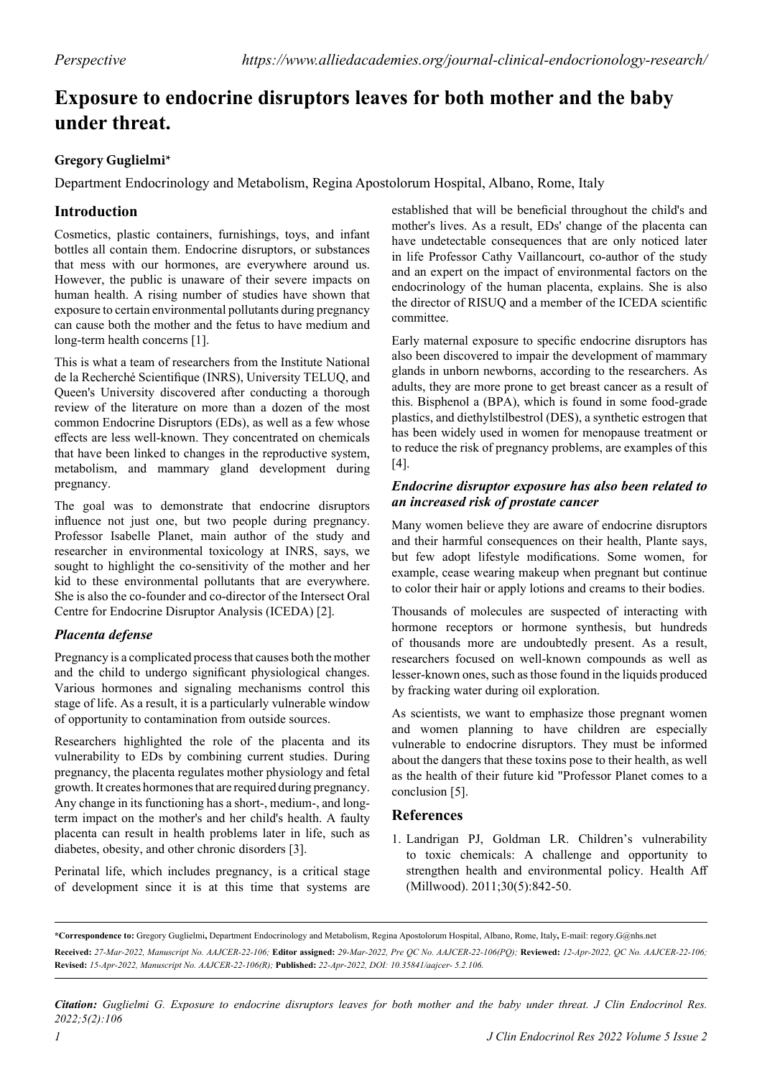# **Exposure to endocrine disruptors leaves for both mother and the baby under threat.**

### **Gregory Guglielmi\***

Department Endocrinology and Metabolism, Regina Apostolorum Hospital, Albano, Rome, Italy

## **Introduction**

Cosmetics, plastic containers, furnishings, toys, and infant bottles all contain them. Endocrine disruptors, or substances that mess with our hormones, are everywhere around us. However, the public is unaware of their severe impacts on human health. A rising number of studies have shown that exposure to certain environmental pollutants during pregnancy can cause both the mother and the fetus to have medium and long-term health concerns [1].

This is what a team of researchers from the Institute National de la Recherché Scientifique (INRS), University TELUQ, and Queen's University discovered after conducting a thorough review of the literature on more than a dozen of the most common Endocrine Disruptors (EDs), as well as a few whose effects are less well-known. They concentrated on chemicals that have been linked to changes in the reproductive system, metabolism, and mammary gland development during pregnancy.

The goal was to demonstrate that endocrine disruptors influence not just one, but two people during pregnancy. Professor Isabelle Planet, main author of the study and researcher in environmental toxicology at INRS, says, we sought to highlight the co-sensitivity of the mother and her kid to these environmental pollutants that are everywhere. She is also the co-founder and co-director of the Intersect Oral Centre for Endocrine Disruptor Analysis (ICEDA) [2].

#### *Placenta defense*

Pregnancy is a complicated process that causes both the mother and the child to undergo significant physiological changes. Various hormones and signaling mechanisms control this stage of life. As a result, it is a particularly vulnerable window of opportunity to contamination from outside sources.

Researchers highlighted the role of the placenta and its vulnerability to EDs by combining current studies. During pregnancy, the placenta regulates mother physiology and fetal growth. It creates hormones that are required during pregnancy. Any change in its functioning has a short-, medium-, and longterm impact on the mother's and her child's health. A faulty placenta can result in health problems later in life, such as diabetes, obesity, and other chronic disorders [3].

Perinatal life, which includes pregnancy, is a critical stage of development since it is at this time that systems are

established that will be beneficial throughout the child's and mother's lives. As a result, EDs' change of the placenta can have undetectable consequences that are only noticed later in life Professor Cathy Vaillancourt, co-author of the study and an expert on the impact of environmental factors on the endocrinology of the human placenta, explains. She is also the director of RISUQ and a member of the ICEDA scientific committee.

Early maternal exposure to specific endocrine disruptors has also been discovered to impair the development of mammary glands in unborn newborns, according to the researchers. As adults, they are more prone to get breast cancer as a result of this. Bisphenol a (BPA), which is found in some food-grade plastics, and diethylstilbestrol (DES), a synthetic estrogen that has been widely used in women for menopause treatment or to reduce the risk of pregnancy problems, are examples of this [4].

#### *Endocrine disruptor exposure has also been related to an increased risk of prostate cancer*

Many women believe they are aware of endocrine disruptors and their harmful consequences on their health, Plante says, but few adopt lifestyle modifications. Some women, for example, cease wearing makeup when pregnant but continue to color their hair or apply lotions and creams to their bodies.

Thousands of molecules are suspected of interacting with hormone receptors or hormone synthesis, but hundreds of thousands more are undoubtedly present. As a result, researchers focused on well-known compounds as well as lesser-known ones, such as those found in the liquids produced by fracking water during oil exploration.

As scientists, we want to emphasize those pregnant women and women planning to have children are especially vulnerable to endocrine disruptors. They must be informed about the dangers that these toxins pose to their health, as well as the health of their future kid "Professor Planet comes to a conclusion [5].

#### **References**

1. Landrigan PJ, Goldman LR. [Children's vulnerability](https://www.healthaffairs.org/doi/abs/10.1377/hlthaff.2011.0151)  [to toxic chemicals: A challenge and opportunity to](https://www.healthaffairs.org/doi/abs/10.1377/hlthaff.2011.0151)  [strengthen health and environmental policy](https://www.healthaffairs.org/doi/abs/10.1377/hlthaff.2011.0151). Health Aff (Millwood). 2011;30(5):842-50.

*Citation: Guglielmi G. Exposure to endocrine disruptors leaves for both mother and the baby under threat. J Clin Endocrinol Res. 2022;5(2):106*

**<sup>\*</sup>Correspondence to:** Gregory Guglielmi**,** Department Endocrinology and Metabolism, Regina Apostolorum Hospital, Albano, Rome, Italy**,** E-mail: regory.G@nhs.net **Received:** *27-Mar-2022, Manuscript No. AAJCER-22-106;* **Editor assigned:** *29-Mar-2022, Pre QC No. AAJCER-22-106(PQ);* **Reviewed:** *12-Apr-2022, QC No. AAJCER-22-106;*  **Revised:** *15-Apr-2022, Manuscript No. AAJCER-22-106(R);* **Published:** *22-Apr-2022, DOI: 10.35841/aajcer- 5.2.106.*